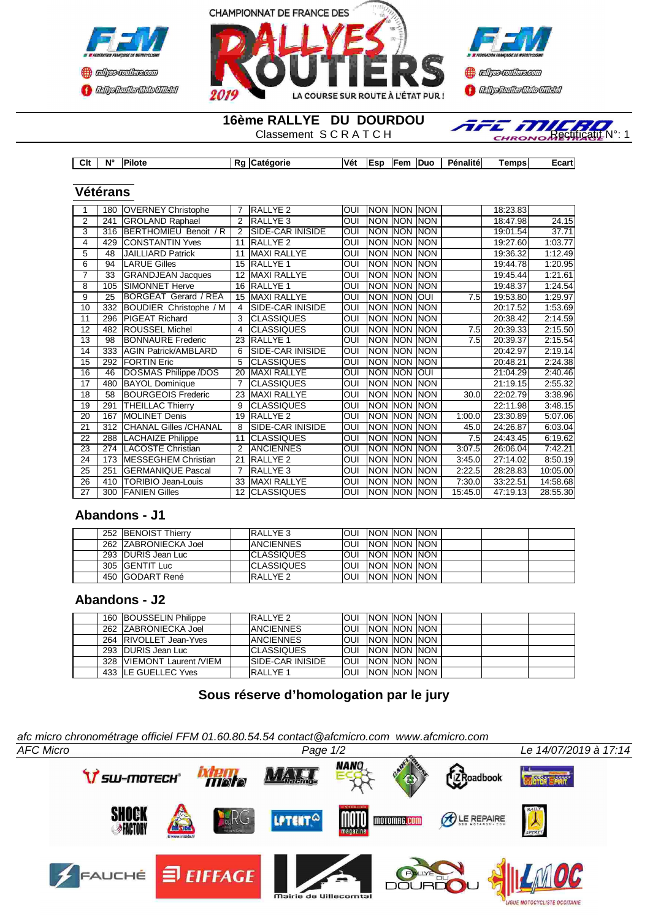



**16ème RALLYE DU DOURDOU**<br>Classement SCRATCH



| Clt | $N^{\circ}$ | Pilote | к. | aorie<br>ш | Vé.<br>__ | Eer<br>м. | en<br>$\sim$ | <b>Duc</b> | Pénalité | emps | -oor'<br>⊥udi i |
|-----|-------------|--------|----|------------|-----------|-----------|--------------|------------|----------|------|-----------------|

#### **Vétérans**

| 1  | 180 | <b>OVERNEY Christophe</b>    |                | RALLYE 2                 | <b>OUI</b> | <b>INON</b> | <b>NON</b> | <b>NON</b> |         | 18:23.83 |          |
|----|-----|------------------------------|----------------|--------------------------|------------|-------------|------------|------------|---------|----------|----------|
| 2  | 241 | <b>GROLAND Raphael</b>       | 2              | <b>RALLYE 3</b>          | OUI        | <b>NON</b>  | <b>NON</b> | <b>NON</b> |         | 18:47.98 | 24.15    |
| 3  | 316 | BERTHOMIEU Benoit / R        | 2              | <b>ISIDE-CAR INISIDE</b> | OUI        | <b>NON</b>  | <b>NON</b> | <b>NON</b> |         | 19:01.54 | 37.71    |
| 4  | 429 | <b>CONSTANTIN Yves</b>       | 11             | <b>RALLYE 2</b>          | OUI        | <b>NON</b>  | <b>NON</b> | <b>NON</b> |         | 19:27.60 | 1:03.77  |
| 5  | 48  | <b>JAILLIARD Patrick</b>     | 11             | <b>MAXI RALLYE</b>       | OUI        | <b>NON</b>  | <b>NON</b> | <b>NON</b> |         | 19:36.32 | 1:12.49  |
| 6  | 94  | <b>LARUE Gilles</b>          | 15             | <b>RALLYE 1</b>          | OUI        | <b>NON</b>  | <b>NON</b> | <b>NON</b> |         | 19:44.78 | 1:20.95  |
| 7  | 33  | <b>GRANDJEAN Jacques</b>     | 12             | <b>MAXI RALLYE</b>       | OUI        | <b>NON</b>  | <b>NON</b> | <b>NON</b> |         | 19:45.44 | 1:21.61  |
| 8  | 105 | <b>SIMONNET Herve</b>        | 16             | <b>RALLYE 1</b>          | OUI        | <b>NON</b>  | <b>NON</b> | <b>NON</b> |         | 19:48.37 | 1:24.54  |
| 9  | 25  | <b>BORGEAT Gerard / REA</b>  | 15             | MAXI RALLYE              | OUI        | <b>NON</b>  | <b>NON</b> | loui       | 7.5     | 19:53.80 | 1:29.97  |
| 10 | 332 | BOUDIER Christophe / M       | 4              | <b>SIDE-CAR INISIDE</b>  | OUI        | <b>NON</b>  | <b>NON</b> | <b>NON</b> |         | 20:17.52 | 1:53.69  |
| 11 | 296 | <b>PIGEAT Richard</b>        | 3              | <b>CLASSIQUES</b>        | OUI        | <b>NON</b>  | <b>NON</b> | <b>NON</b> |         | 20:38.42 | 2:14.59  |
| 12 | 482 | <b>ROUSSEL Michel</b>        | 4              | <b>CLASSIQUES</b>        | OUI        | <b>NON</b>  | <b>NON</b> | <b>NON</b> | 7.5     | 20:39.33 | 2:15.50  |
| 13 | 98  | <b>BONNAURE Frederic</b>     | 23             | RALLYE 1                 | OUI        | <b>NON</b>  | <b>NON</b> | <b>NON</b> | 7.5     | 20:39.37 | 2:15.54  |
| 14 | 333 | <b>AGIN Patrick/AMBLARD</b>  | 6              | <b>SIDE-CAR INISIDE</b>  | OUI        | <b>NON</b>  | <b>NON</b> | <b>NON</b> |         | 20:42.97 | 2:19.14  |
| 15 | 292 | <b>FORTIN Eric</b>           | 5              | <b>CLASSIQUES</b>        | OUI        | <b>NON</b>  | <b>NON</b> | <b>NON</b> |         | 20:48.21 | 2:24.38  |
| 16 | 46  | <b>DOSMAS Philippe/DOS</b>   | 20             | <b>MAXI RALLYE</b>       | OUI        | <b>NON</b>  | <b>NON</b> | IOUI       |         | 21:04.29 | 2:40.46  |
| 17 | 480 | <b>BAYOL Dominique</b>       | $\overline{7}$ | <b>CLASSIQUES</b>        | OUI        | <b>NON</b>  | <b>NON</b> | <b>NON</b> |         | 21:19.15 | 2:55.32  |
| 18 | 58  | <b>BOURGEOIS Frederic</b>    | 23             | <b>MAXI RALLYE</b>       | OUI        | <b>NON</b>  | <b>NON</b> | <b>NON</b> | 30.0    | 22:02.79 | 3:38.96  |
| 19 | 291 | <b>THEILLAC Thierry</b>      | 9              | <b>CLASSIQUES</b>        | OUI        | <b>NON</b>  | <b>NON</b> | <b>NON</b> |         | 22:11.98 | 3:48.15  |
| 20 | 167 | <b>MOLINET Denis</b>         | 19             | RALLYE <sub>2</sub>      | OUI        | <b>NON</b>  | <b>NON</b> | <b>NON</b> | 1:00.0  | 23:30.89 | 5:07.06  |
| 21 | 312 | <b>CHANAL Gilles /CHANAL</b> | 8              | <b>ISIDE-CAR INISIDE</b> | OUI        | <b>NON</b>  | <b>NON</b> | <b>NON</b> | 45.0    | 24:26.87 | 6:03.04  |
| 22 | 288 | <b>LACHAIZE Philippe</b>     | 11             | <b>CLASSIQUES</b>        | OUI        | <b>NON</b>  | <b>NON</b> | <b>NON</b> | 7.5     | 24:43.45 | 6:19.62  |
| 23 | 274 | <b>LACOSTE Christian</b>     | $\mathcal{P}$  | <b>ANCIENNES</b>         | OUI        | <b>NON</b>  | <b>NON</b> | <b>NON</b> | 3:07.5  | 26:06.04 | 7:42.21  |
| 24 | 173 | <b>MESSEGHEM Christian</b>   | 21             | RALLYE <sub>2</sub>      | OUI        | <b>NON</b>  | <b>NON</b> | <b>NON</b> | 3:45.0  | 27:14.02 | 8:50.19  |
| 25 | 251 | <b>GERMANIQUE Pascal</b>     | 7              | <b>RALLYE 3</b>          | OUI        | <b>NON</b>  | <b>NON</b> | <b>NON</b> | 2:22.5  | 28:28.83 | 10:05.00 |
| 26 | 410 | <b>TORIBIO Jean-Louis</b>    | 33             | <b>MAXI RALLYE</b>       | OUI        | <b>NON</b>  | <b>NON</b> | <b>NON</b> | 7:30.0  | 33:22.51 | 14:58.68 |
| 27 | 300 | <b>FANIEN Gilles</b>         | 12             | <b>CLASSIQUES</b>        | <b>OUI</b> | <b>NON</b>  | <b>NON</b> | <b>NON</b> | 15:45.0 | 47:19.13 | 28:55.30 |
|    |     |                              |                |                          |            |             |            |            |         |          |          |

### **Abandons - J1**

|  | 252 BENOIST Thierry  | IRALLYE 3          | OUI  |                | INON INON INON            |  |  |
|--|----------------------|--------------------|------|----------------|---------------------------|--|--|
|  | 262 ZABRONIECKA Joel | <b>IANCIENNES</b>  | OUI. |                | INON INON INON            |  |  |
|  | 293 DURIS Jean Luc   | <b>ICLASSIQUES</b> | OUI  |                | INON INON INON I          |  |  |
|  | 305 GENTIT Luc       | <b>ICLASSIQUES</b> |      |                | <b>OUI</b> INON INON INON |  |  |
|  | 450 GODART René      | IRALLYE 2          | OUI  | INON INON INON |                           |  |  |

### **Abandons - J2**

|  | 160 BOUSSELIN Philippe    | <b>IRALLYE 2</b>        | <b>JOUL INON NON INON</b> |                           |  |  |  |
|--|---------------------------|-------------------------|---------------------------|---------------------------|--|--|--|
|  | 262 ZABRONIECKA Joel      | <b>ANCIENNES</b>        |                           | <b>OUI INON INON INON</b> |  |  |  |
|  | 264 RIVOLLET Jean-Yves    | <b>IANCIENNES</b>       |                           | OUI INON NON INON         |  |  |  |
|  | 293 DURIS Jean Luc        | <b>CLASSIQUES</b>       |                           | OUI NON NON NON           |  |  |  |
|  | 328 VIEMONT Laurent /VIEM | <b>SIDE-CAR INISIDE</b> | <b>OUI NON NON NON</b>    |                           |  |  |  |
|  | 433 ILE GUELLEC Yves      | <b>IRALLYE 1</b>        |                           | OUI INON INON INON        |  |  |  |

# **Sous réserve d'homologation par le jury**

*afc micro chronométrage officiel FFM 01.60.80.54.54 contact@afcmicro.com www.afcmicro.com*